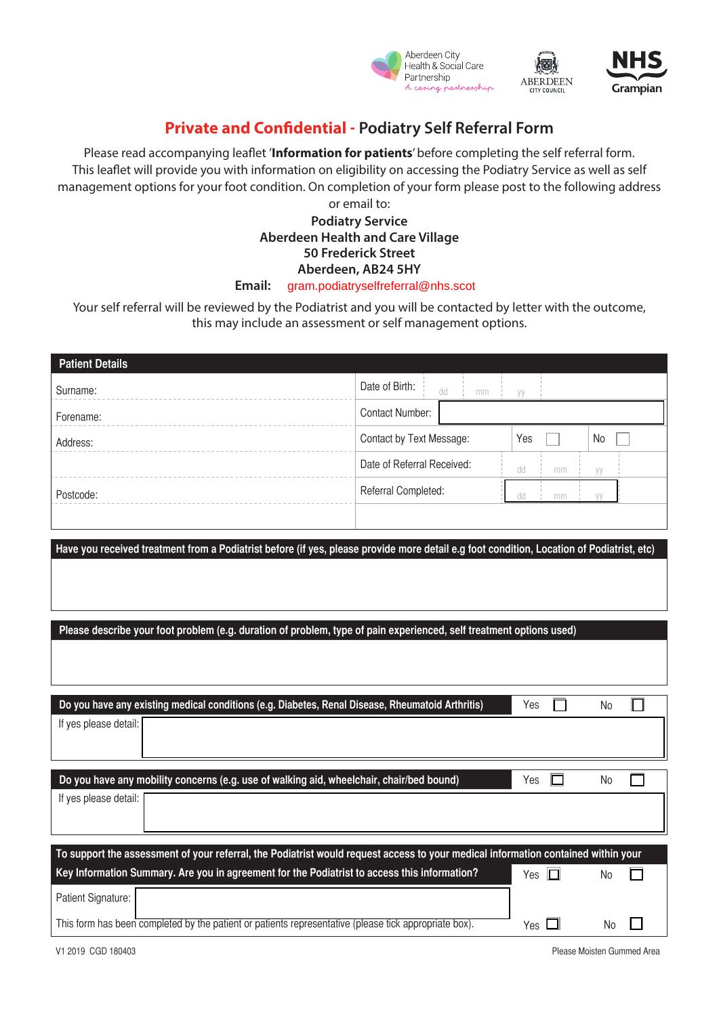



CITY COUNCIL

## **Private and Confidential - Podiatry Self Referral Form**

Please read accompanying leaflet '**Information for patients**' before completing the self referral form. This leaflet will provide you with information on eligibility on accessing the Podiatry Service as well as self management options for your foot condition. On completion of your form please post to the following address or email to:

## **Podiatry Service Aberdeen Health and Care Village 50 Frederick Street Aberdeen, AB24 5HY** Email: gram.podiatryselfreferral@nhs.scot

Your self referral will be reviewed by the Podiatrist and you will be contacted by letter with the outcome, this may include an assessment or self management options.

| <b>Patient Details</b>                                                                                                                    |                            |                         |
|-------------------------------------------------------------------------------------------------------------------------------------------|----------------------------|-------------------------|
| Surname:                                                                                                                                  | Date of Birth:<br>dd<br>mm | yy                      |
| Forename:                                                                                                                                 | <b>Contact Number:</b>     |                         |
| Address:                                                                                                                                  | Contact by Text Message:   | Yes<br>No               |
|                                                                                                                                           | Date of Referral Received: | dd<br>mm<br>уу          |
| Postcode:                                                                                                                                 | Referral Completed:        | dd<br>yy<br>mm          |
|                                                                                                                                           |                            |                         |
| Have you received treatment from a Podiatrist before (if yes, please provide more detail e.g foot condition, Location of Podiatrist, etc) |                            |                         |
|                                                                                                                                           |                            |                         |
|                                                                                                                                           |                            |                         |
| Please describe your foot problem (e.g. duration of problem, type of pain experienced, self treatment options used)                       |                            |                         |
|                                                                                                                                           |                            |                         |
|                                                                                                                                           |                            |                         |
| Do you have any existing medical conditions (e.g. Diabetes, Renal Disease, Rheumatoid Arthritis)                                          |                            | <b>No</b><br>Yes        |
| If yes please detail:                                                                                                                     |                            |                         |
|                                                                                                                                           |                            |                         |
| Do you have any mobility concerns (e.g. use of walking aid, wheelchair, chair/bed bound)                                                  |                            | ш<br>Yes<br>No          |
| If yes please detail:                                                                                                                     |                            |                         |
|                                                                                                                                           |                            |                         |
| To support the assessment of your referral, the Podiatrist would request access to your medical information contained within your         |                            |                         |
| Key Information Summary. Are you in agreement for the Podiatrist to access this information?                                              |                            | Yes $\Box$<br><b>No</b> |
| Patient Signature:                                                                                                                        |                            |                         |
| This form has been completed by the patient or patients representative (please tick appropriate box).                                     |                            | Yes<br>No               |